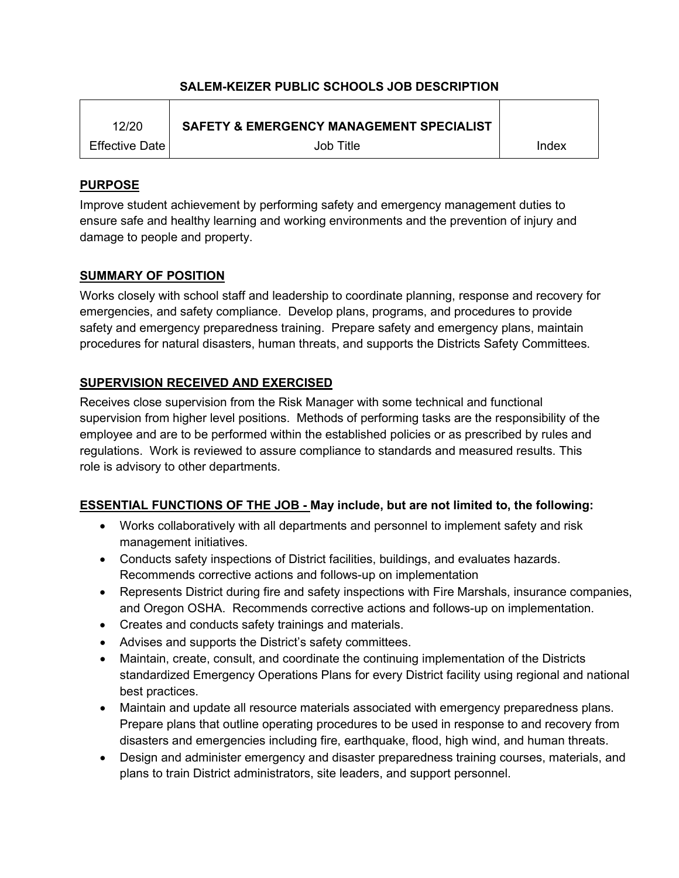## **SALEM-KEIZER PUBLIC SCHOOLS JOB DESCRIPTION**

| 12/20                   | <b>SAFETY &amp; EMERGENCY MANAGEMENT SPECIALIST</b> |       |
|-------------------------|-----------------------------------------------------|-------|
| <b>Effective Date I</b> | Job Title                                           | Index |

## **PURPOSE**

Improve student achievement by performing safety and emergency management duties to ensure safe and healthy learning and working environments and the prevention of injury and damage to people and property.

## **SUMMARY OF POSITION**

Works closely with school staff and leadership to coordinate planning, response and recovery for emergencies, and safety compliance. Develop plans, programs, and procedures to provide safety and emergency preparedness training. Prepare safety and emergency plans, maintain procedures for natural disasters, human threats, and supports the Districts Safety Committees.

## **SUPERVISION RECEIVED AND EXERCISED**

Receives close supervision from the Risk Manager with some technical and functional supervision from higher level positions. Methods of performing tasks are the responsibility of the employee and are to be performed within the established policies or as prescribed by rules and regulations. Work is reviewed to assure compliance to standards and measured results. This role is advisory to other departments.

# **ESSENTIAL FUNCTIONS OF THE JOB - May include, but are not limited to, the following:**

- Works collaboratively with all departments and personnel to implement safety and risk management initiatives.
- Conducts safety inspections of District facilities, buildings, and evaluates hazards. Recommends corrective actions and follows-up on implementation
- Represents District during fire and safety inspections with Fire Marshals, insurance companies, and Oregon OSHA. Recommends corrective actions and follows-up on implementation.
- Creates and conducts safety trainings and materials.
- Advises and supports the District's safety committees.
- Maintain, create, consult, and coordinate the continuing implementation of the Districts standardized Emergency Operations Plans for every District facility using regional and national best practices.
- Maintain and update all resource materials associated with emergency preparedness plans. Prepare plans that outline operating procedures to be used in response to and recovery from disasters and emergencies including fire, earthquake, flood, high wind, and human threats.
- Design and administer emergency and disaster preparedness training courses, materials, and plans to train District administrators, site leaders, and support personnel.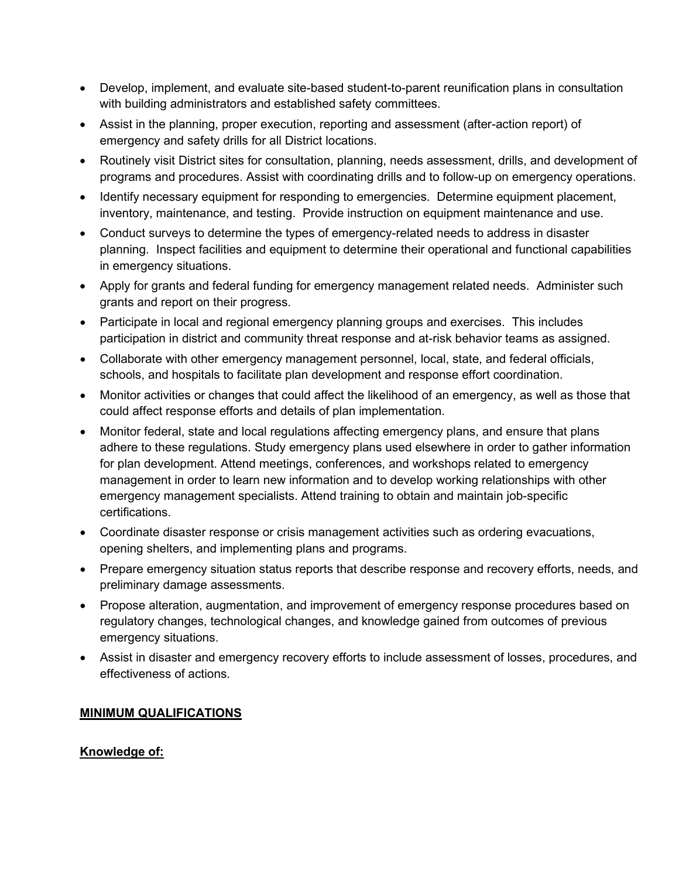- Develop, implement, and evaluate site-based student-to-parent reunification plans in consultation with building administrators and established safety committees.
- Assist in the planning, proper execution, reporting and assessment (after-action report) of emergency and safety drills for all District locations.
- Routinely visit District sites for consultation, planning, needs assessment, drills, and development of programs and procedures. Assist with coordinating drills and to follow-up on emergency operations.
- Identify necessary equipment for responding to emergencies. Determine equipment placement, inventory, maintenance, and testing. Provide instruction on equipment maintenance and use.
- Conduct surveys to determine the types of emergency-related needs to address in disaster planning. Inspect facilities and equipment to determine their operational and functional capabilities in emergency situations.
- Apply for grants and federal funding for emergency management related needs. Administer such grants and report on their progress.
- Participate in local and regional emergency planning groups and exercises. This includes participation in district and community threat response and at-risk behavior teams as assigned.
- Collaborate with other emergency management personnel, local, state, and federal officials, schools, and hospitals to facilitate plan development and response effort coordination.
- Monitor activities or changes that could affect the likelihood of an emergency, as well as those that could affect response efforts and details of plan implementation.
- Monitor federal, state and local regulations affecting emergency plans, and ensure that plans adhere to these regulations. Study emergency plans used elsewhere in order to gather information for plan development. Attend meetings, conferences, and workshops related to emergency management in order to learn new information and to develop working relationships with other emergency management specialists. Attend training to obtain and maintain job-specific certifications.
- Coordinate disaster response or crisis management activities such as ordering evacuations, opening shelters, and implementing plans and programs.
- Prepare emergency situation status reports that describe response and recovery efforts, needs, and preliminary damage assessments.
- Propose alteration, augmentation, and improvement of emergency response procedures based on regulatory changes, technological changes, and knowledge gained from outcomes of previous emergency situations.
- Assist in disaster and emergency recovery efforts to include assessment of losses, procedures, and effectiveness of actions.

## **MINIMUM QUALIFICATIONS**

#### **Knowledge of:**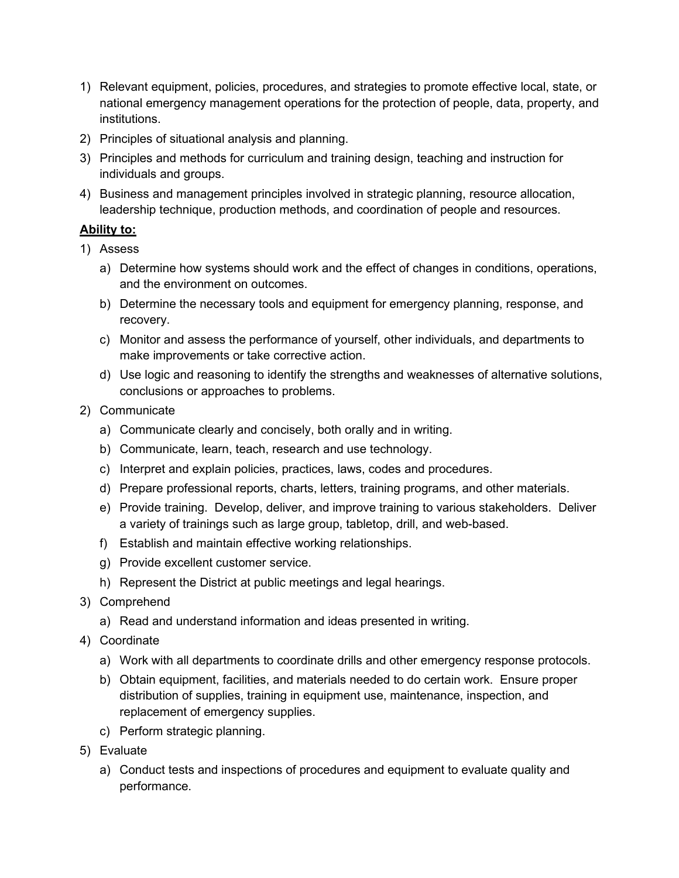- 1) Relevant equipment, policies, procedures, and strategies to promote effective local, state, or national emergency management operations for the protection of people, data, property, and institutions.
- 2) Principles of situational analysis and planning.
- 3) Principles and methods for curriculum and training design, teaching and instruction for individuals and groups.
- 4) Business and management principles involved in strategic planning, resource allocation, leadership technique, production methods, and coordination of people and resources.

## **Ability to:**

- 1) Assess
	- a) Determine how systems should work and the effect of changes in conditions, operations, and the environment on outcomes.
	- b) Determine the necessary tools and equipment for emergency planning, response, and recovery.
	- c) Monitor and assess the performance of yourself, other individuals, and departments to make improvements or take corrective action.
	- d) Use logic and reasoning to identify the strengths and weaknesses of alternative solutions, conclusions or approaches to problems.
- 2) Communicate
	- a) Communicate clearly and concisely, both orally and in writing.
	- b) Communicate, learn, teach, research and use technology.
	- c) Interpret and explain policies, practices, laws, codes and procedures.
	- d) Prepare professional reports, charts, letters, training programs, and other materials.
	- e) Provide training. Develop, deliver, and improve training to various stakeholders. Deliver a variety of trainings such as large group, tabletop, drill, and web-based.
	- f) Establish and maintain effective working relationships.
	- g) Provide excellent customer service.
	- h) Represent the District at public meetings and legal hearings.
- 3) Comprehend
	- a) Read and understand information and ideas presented in writing.
- 4) Coordinate
	- a) Work with all departments to coordinate drills and other emergency response protocols.
	- b) Obtain equipment, facilities, and materials needed to do certain work. Ensure proper distribution of supplies, training in equipment use, maintenance, inspection, and replacement of emergency supplies.
	- c) Perform strategic planning.
- 5) Evaluate
	- a) Conduct tests and inspections of procedures and equipment to evaluate quality and performance.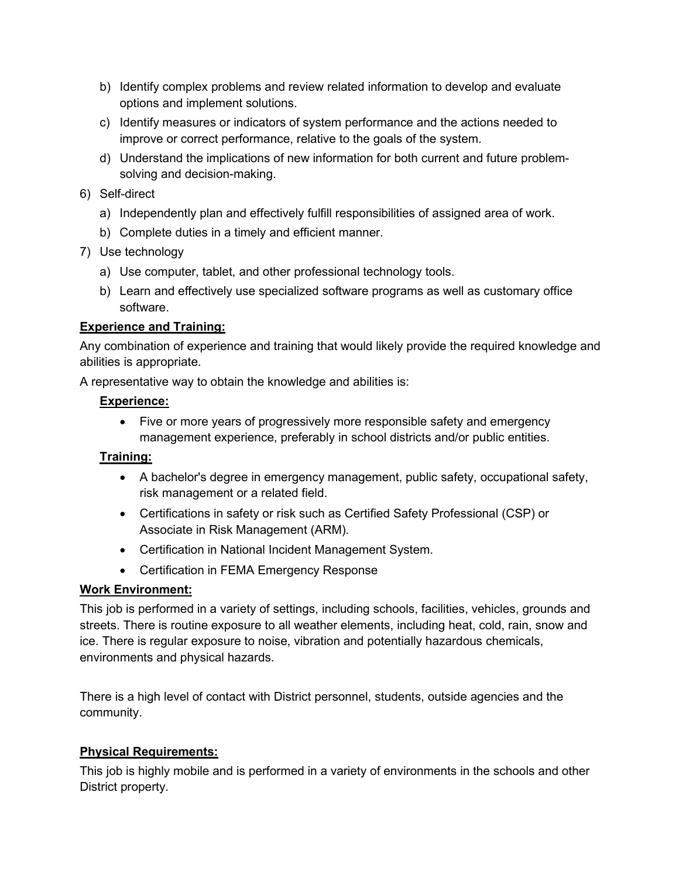- b) Identify complex problems and review related information to develop and evaluate options and implement solutions.
- c) Identify measures or indicators of system performance and the actions needed to improve or correct performance, relative to the goals of the system.
- d) Understand the implications of new information for both current and future problemsolving and decision-making.
- 6) Self-direct
	- a) Independently plan and effectively fulfill responsibilities of assigned area of work.
	- b) Complete duties in a timely and efficient manner.
- 7) Use technology
	- a) Use computer, tablet, and other professional technology tools.
	- b) Learn and effectively use specialized software programs as well as customary office software.

## **Experience and Training:**

Any combination of experience and training that would likely provide the required knowledge and abilities is appropriate.

A representative way to obtain the knowledge and abilities is:

## **Experience:**

• Five or more years of progressively more responsible safety and emergency management experience, preferably in school districts and/or public entities.

## **Training:**

- A bachelor's degree in emergency management, public safety, occupational safety, risk management or a related field.
- Certifications in safety or risk such as Certified Safety Professional (CSP) or Associate in Risk Management (ARM).
- Certification in National Incident Management System.
- Certification in FEMA Emergency Response

# **Work Environment:**

This job is performed in a variety of settings, including schools, facilities, vehicles, grounds and streets. There is routine exposure to all weather elements, including heat, cold, rain, snow and ice. There is regular exposure to noise, vibration and potentially hazardous chemicals, environments and physical hazards.

There is a high level of contact with District personnel, students, outside agencies and the community.

## **Physical Requirements:**

This job is highly mobile and is performed in a variety of environments in the schools and other District property.